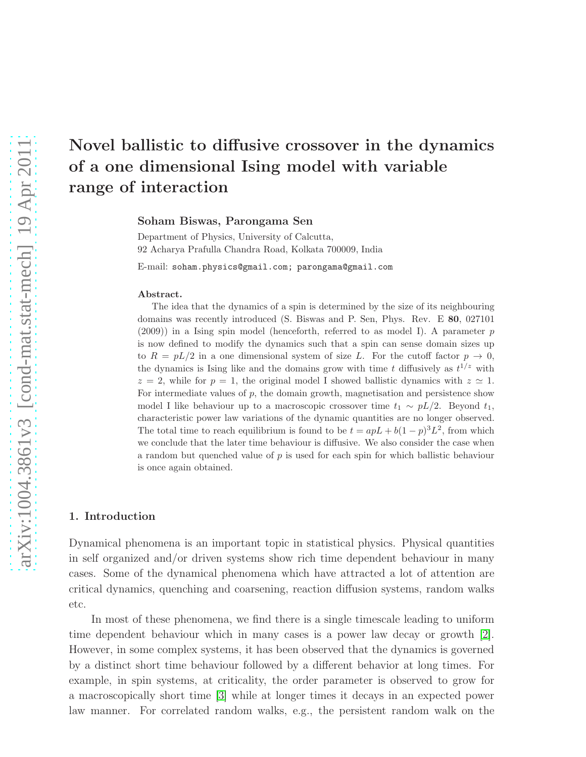Soham Biswas, Parongama Sen

Department of Physics, University of Calcutta, 92 Acharya Prafulla Chandra Road, Kolkata 700009, India

E-mail: soham.physics@gmail.com; parongama@gmail.com

#### Abstract.

The idea that the dynamics of a spin is determined by the size of its neighbouring domains was recently introduced (S. Biswas and P. Sen, Phys. Rev. E 80, 027101 (2009)) in a Ising spin model (henceforth, referred to as model I). A parameter p is now defined to modify the dynamics such that a spin can sense domain sizes up to  $R = pL/2$  in a one dimensional system of size L. For the cutoff factor  $p \to 0$ , the dynamics is Ising like and the domains grow with time t diffusively as  $t^{1/z}$  with  $z = 2$ , while for  $p = 1$ , the original model I showed ballistic dynamics with  $z \approx 1$ . For intermediate values of  $p$ , the domain growth, magnetisation and persistence show model I like behaviour up to a macroscopic crossover time  $t_1 \sim pL/2$ . Beyond  $t_1$ , characteristic power law variations of the dynamic quantities are no longer observed. The total time to reach equilibrium is found to be  $t = apL + b(1-p)^3L^2$ , from which we conclude that the later time behaviour is diffusive. We also consider the case when a random but quenched value of p is used for each spin for which ballistic behaviour is once again obtained.

#### 1. Introduction

Dynamical phenomena is an important topic in statistical physics. Physical quantities in self organized and/or driven systems show rich time dependent behaviour in many cases. Some of the dynamical phenomena which have attracted a lot of attention are critical dynamics, quenching and coarsening, reaction diffusion systems, random walks etc.

In most of these phenomena, we find there is a single timescale leading to uniform time dependent behaviour which in many cases is a power law decay or growth [\[2\]](#page-13-0). However, in some complex systems, it has been observed that the dynamics is governed by a distinct short time behaviour followed by a different behavior at long times. For example, in spin systems, at criticality, the order parameter is observed to grow for a macroscopically short time [\[3\]](#page-13-1) while at longer times it decays in an expected power law manner. For correlated random walks, e.g., the persistent random walk on the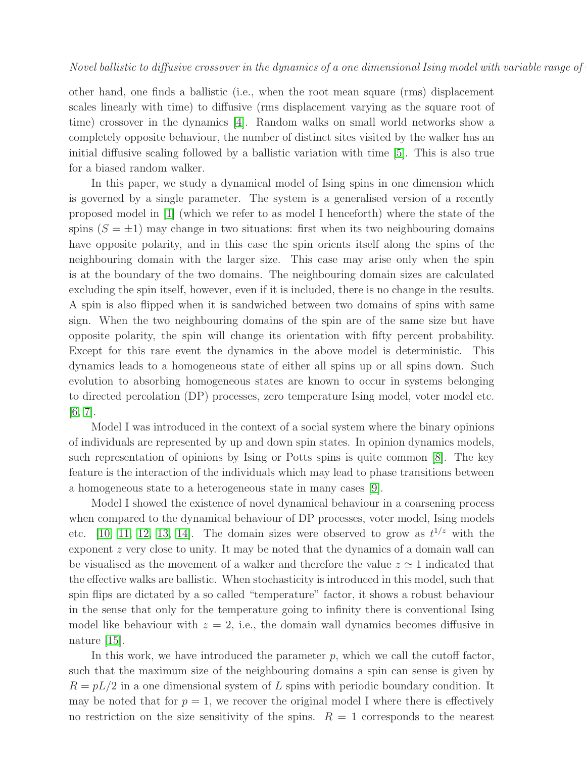other hand, one finds a ballistic (i.e., when the root mean square (rms) displacement scales linearly with time) to diffusive (rms displacement varying as the square root of time) crossover in the dynamics [\[4\]](#page-13-2). Random walks on small world networks show a completely opposite behaviour, the number of distinct sites visited by the walker has an initial diffusive scaling followed by a ballistic variation with time [\[5\]](#page-13-3). This is also true for a biased random walker.

In this paper, we study a dynamical model of Ising spins in one dimension which is governed by a single parameter. The system is a generalised version of a recently proposed model in  $|1|$  (which we refer to as model I henceforth) where the state of the spins  $(S = \pm 1)$  may change in two situations: first when its two neighbouring domains have opposite polarity, and in this case the spin orients itself along the spins of the neighbouring domain with the larger size. This case may arise only when the spin is at the boundary of the two domains. The neighbouring domain sizes are calculated excluding the spin itself, however, even if it is included, there is no change in the results. A spin is also flipped when it is sandwiched between two domains of spins with same sign. When the two neighbouring domains of the spin are of the same size but have opposite polarity, the spin will change its orientation with fifty percent probability. Except for this rare event the dynamics in the above model is deterministic. This dynamics leads to a homogeneous state of either all spins up or all spins down. Such evolution to absorbing homogeneous states are known to occur in systems belonging to directed percolation (DP) processes, zero temperature Ising model, voter model etc. [\[6,](#page-13-5) [7\]](#page-13-6).

Model I was introduced in the context of a social system where the binary opinions of individuals are represented by up and down spin states. In opinion dynamics models, such representation of opinions by Ising or Potts spins is quite common [\[8\]](#page-13-7). The key feature is the interaction of the individuals which may lead to phase transitions between a homogeneous state to a heterogeneous state in many cases [\[9\]](#page-13-8).

Model I showed the existence of novel dynamical behaviour in a coarsening process when compared to the dynamical behaviour of DP processes, voter model, Ising models etc. [\[10,](#page-13-9) [11,](#page-13-10) [12,](#page-13-11) [13,](#page-13-12) [14\]](#page-13-13). The domain sizes were observed to grow as  $t^{1/z}$  with the exponent z very close to unity. It may be noted that the dynamics of a domain wall can be visualised as the movement of a walker and therefore the value  $z \approx 1$  indicated that the effective walks are ballistic. When stochasticity is introduced in this model, such that spin flips are dictated by a so called "temperature" factor, it shows a robust behaviour in the sense that only for the temperature going to infinity there is conventional Ising model like behaviour with  $z = 2$ , i.e., the domain wall dynamics becomes diffusive in nature [\[15\]](#page-13-14).

In this work, we have introduced the parameter  $p$ , which we call the cutoff factor, such that the maximum size of the neighbouring domains a spin can sense is given by  $R = pL/2$  in a one dimensional system of L spins with periodic boundary condition. It may be noted that for  $p = 1$ , we recover the original model I where there is effectively no restriction on the size sensitivity of the spins.  $R = 1$  corresponds to the nearest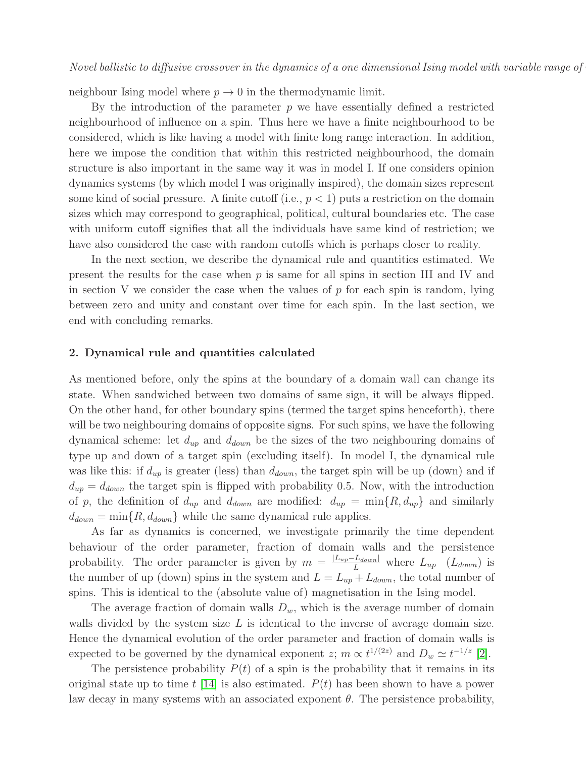neighbour Ising model where  $p \to 0$  in the thermodynamic limit.

By the introduction of the parameter  $p$  we have essentially defined a restricted neighbourhood of influence on a spin. Thus here we have a finite neighbourhood to be considered, which is like having a model with finite long range interaction. In addition, here we impose the condition that within this restricted neighbourhood, the domain structure is also important in the same way it was in model I. If one considers opinion dynamics systems (by which model I was originally inspired), the domain sizes represent some kind of social pressure. A finite cutoff (i.e.,  $p < 1$ ) puts a restriction on the domain sizes which may correspond to geographical, political, cultural boundaries etc. The case with uniform cutoff signifies that all the individuals have same kind of restriction; we have also considered the case with random cutoffs which is perhaps closer to reality.

In the next section, we describe the dynamical rule and quantities estimated. We present the results for the case when  $p$  is same for all spins in section III and IV and in section V we consider the case when the values of  $p$  for each spin is random, lying between zero and unity and constant over time for each spin. In the last section, we end with concluding remarks.

## 2. Dynamical rule and quantities calculated

As mentioned before, only the spins at the boundary of a domain wall can change its state. When sandwiched between two domains of same sign, it will be always flipped. On the other hand, for other boundary spins (termed the target spins henceforth), there will be two neighbouring domains of opposite signs. For such spins, we have the following dynamical scheme: let  $d_{up}$  and  $d_{down}$  be the sizes of the two neighbouring domains of type up and down of a target spin (excluding itself). In model I, the dynamical rule was like this: if  $d_{up}$  is greater (less) than  $d_{down}$ , the target spin will be up (down) and if  $d_{up} = d_{down}$  the target spin is flipped with probability 0.5. Now, with the introduction of p, the definition of  $d_{up}$  and  $d_{down}$  are modified:  $d_{up} = \min\{R, d_{up}\}\$  and similarly  $d_{down} = \min\{R, d_{down}\}$  while the same dynamical rule applies.

As far as dynamics is concerned, we investigate primarily the time dependent behaviour of the order parameter, fraction of domain walls and the persistence probability. The order parameter is given by  $m = \frac{|L_{up} - L_{down}|}{L}$  where  $L_{up}$  ( $L_{down}$ ) is the number of up (down) spins in the system and  $L = L_{up} + L_{down}$ , the total number of spins. This is identical to the (absolute value of) magnetisation in the Ising model.

The average fraction of domain walls  $D_w$ , which is the average number of domain walls divided by the system size  $L$  is identical to the inverse of average domain size. Hence the dynamical evolution of the order parameter and fraction of domain walls is expected to be governed by the dynamical exponent  $z; m \propto t^{1/(2z)}$  and  $D_w \simeq t^{-1/z}$  [\[2\]](#page-13-0).

The persistence probability  $P(t)$  of a spin is the probability that it remains in its original state up to time t [\[14\]](#page-13-13) is also estimated.  $P(t)$  has been shown to have a power law decay in many systems with an associated exponent  $\theta$ . The persistence probability,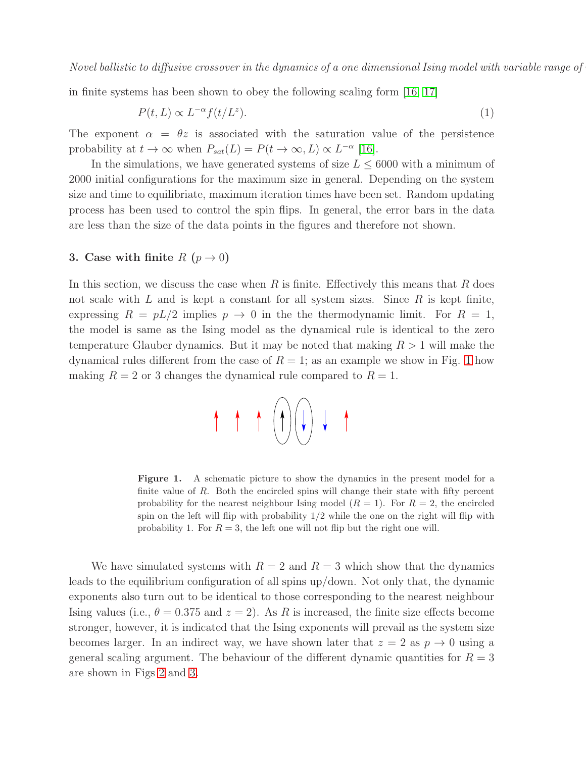in finite systems has been shown to obey the following scaling form [\[16,](#page-13-15) [17\]](#page-13-16)

<span id="page-3-1"></span>
$$
P(t, L) \propto L^{-\alpha} f(t/L^z). \tag{1}
$$

The exponent  $\alpha = \theta z$  is associated with the saturation value of the persistence probability at  $t \to \infty$  when  $P_{sat}(L) = P(t \to \infty, L) \propto L^{-\alpha}$  [\[16\]](#page-13-15).

In the simulations, we have generated systems of size  $L \leq 6000$  with a minimum of 2000 initial configurations for the maximum size in general. Depending on the system size and time to equilibriate, maximum iteration times have been set. Random updating process has been used to control the spin flips. In general, the error bars in the data are less than the size of the data points in the figures and therefore not shown.

## 3. Case with finite  $R(p \to 0)$

In this section, we discuss the case when  $R$  is finite. Effectively this means that  $R$  does not scale with  $L$  and is kept a constant for all system sizes. Since  $R$  is kept finite, expressing  $R = pL/2$  implies  $p \to 0$  in the the thermodynamic limit. For  $R = 1$ , the model is same as the Ising model as the dynamical rule is identical to the zero temperature Glauber dynamics. But it may be noted that making  $R > 1$  will make the dynamical rules different from the case of  $R = 1$  $R = 1$ ; as an example we show in Fig. 1 how making  $R = 2$  or 3 changes the dynamical rule compared to  $R = 1$ .



<span id="page-3-0"></span>Figure 1. A schematic picture to show the dynamics in the present model for a finite value of  $R$ . Both the encircled spins will change their state with fifty percent probability for the nearest neighbour Ising model  $(R = 1)$ . For  $R = 2$ , the encircled spin on the left will flip with probability  $1/2$  while the one on the right will flip with probability 1. For  $R = 3$ , the left one will not flip but the right one will.

We have simulated systems with  $R = 2$  and  $R = 3$  which show that the dynamics leads to the equilibrium configuration of all spins up/down. Not only that, the dynamic exponents also turn out to be identical to those corresponding to the nearest neighbour Ising values (i.e.,  $\theta = 0.375$  and  $z = 2$ ). As R is increased, the finite size effects become stronger, however, it is indicated that the Ising exponents will prevail as the system size becomes larger. In an indirect way, we have shown later that  $z = 2$  as  $p \to 0$  using a general scaling argument. The behaviour of the different dynamic quantities for  $R = 3$ are shown in Figs [2](#page-4-0) and [3.](#page-4-1)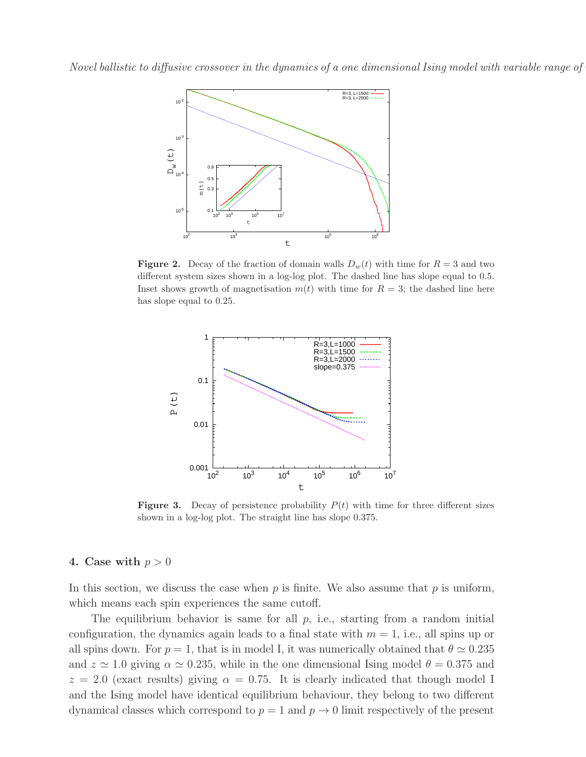

<span id="page-4-0"></span>**Figure 2.** Decay of the fraction of domain walls  $D_w(t)$  with time for  $R = 3$  and two different system sizes shown in a log-log plot. The dashed line has slope equal to 0.5. Inset shows growth of magnetisation  $m(t)$  with time for  $R = 3$ ; the dashed line here has slope equal to 0.25.



<span id="page-4-1"></span>**Figure 3.** Decay of persistence probability  $P(t)$  with time for three different sizes shown in a log-log plot. The straight line has slope 0.375.

#### 4. Case with  $p > 0$

In this section, we discuss the case when  $p$  is finite. We also assume that  $p$  is uniform, which means each spin experiences the same cutoff.

The equilibrium behavior is same for all  $p$ , i.e., starting from a random initial configuration, the dynamics again leads to a final state with  $m = 1$ , i.e., all spins up or all spins down. For  $p = 1$ , that is in model I, it was numerically obtained that  $\theta \simeq 0.235$ and  $z \approx 1.0$  giving  $\alpha \approx 0.235$ , while in the one dimensional Ising model  $\theta = 0.375$  and  $z = 2.0$  (exact results) giving  $\alpha = 0.75$ . It is clearly indicated that though model I and the Ising model have identical equilibrium behaviour, they belong to two different dynamical classes which correspond to  $p = 1$  and  $p \to 0$  limit respectively of the present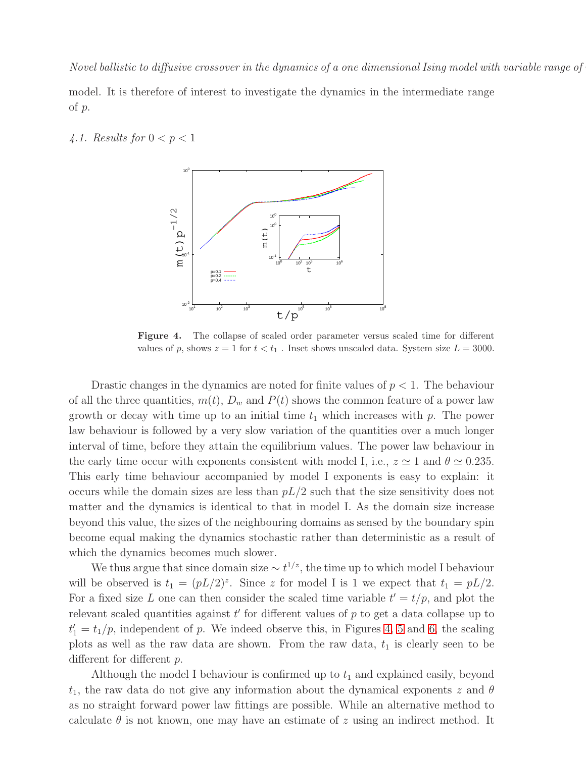model. It is therefore of interest to investigate the dynamics in the intermediate range of p.

#### 4.1. Results for  $0 < p < 1$



<span id="page-5-0"></span>Figure 4. The collapse of scaled order parameter versus scaled time for different values of p, shows  $z = 1$  for  $t < t_1$ . Inset shows unscaled data. System size  $L = 3000$ .

Drastic changes in the dynamics are noted for finite values of  $p < 1$ . The behaviour of all the three quantities,  $m(t)$ ,  $D_w$  and  $P(t)$  shows the common feature of a power law growth or decay with time up to an initial time  $t_1$  which increases with p. The power law behaviour is followed by a very slow variation of the quantities over a much longer interval of time, before they attain the equilibrium values. The power law behaviour in the early time occur with exponents consistent with model I, i.e.,  $z \approx 1$  and  $\theta \approx 0.235$ . This early time behaviour accompanied by model I exponents is easy to explain: it occurs while the domain sizes are less than  $pL/2$  such that the size sensitivity does not matter and the dynamics is identical to that in model I. As the domain size increase beyond this value, the sizes of the neighbouring domains as sensed by the boundary spin become equal making the dynamics stochastic rather than deterministic as a result of which the dynamics becomes much slower.

We thus argue that since domain size  $\sim t^{1/z}$ , the time up to which model I behaviour will be observed is  $t_1 = (pL/2)^z$ . Since z for model I is 1 we expect that  $t_1 = pL/2$ . For a fixed size L one can then consider the scaled time variable  $t' = t/p$ , and plot the relevant scaled quantities against  $t'$  for different values of  $p$  to get a data collapse up to  $t'_1 = t_1/p$ , independent of p. We indeed observe this, in Figures [4,](#page-5-0) [5](#page-6-0) and [6,](#page-6-1) the scaling plots as well as the raw data are shown. From the raw data,  $t_1$  is clearly seen to be different for different p.

Although the model I behaviour is confirmed up to  $t_1$  and explained easily, beyond  $t_1$ , the raw data do not give any information about the dynamical exponents z and  $\theta$ as no straight forward power law fittings are possible. While an alternative method to calculate  $\theta$  is not known, one may have an estimate of z using an indirect method. It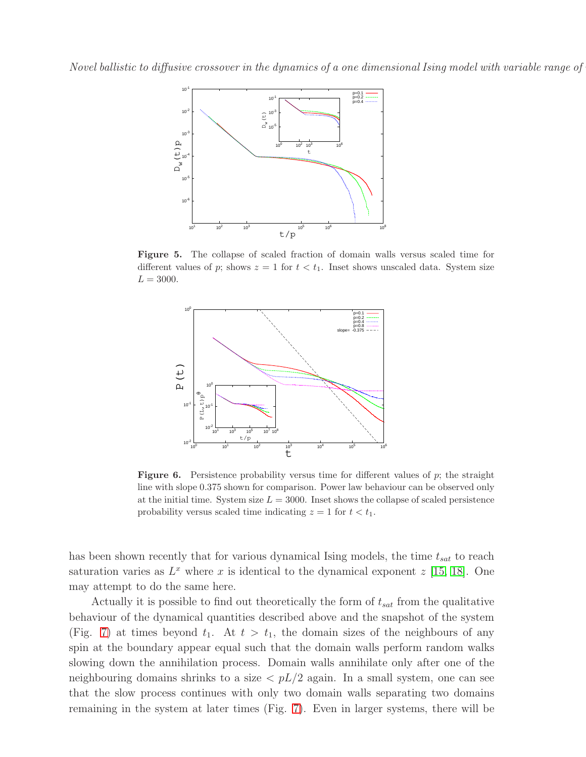

Figure 5. The collapse of scaled fraction of domain walls versus scaled time for different values of p; shows  $z = 1$  for  $t < t_1$ . Inset shows unscaled data. System size  $L = 3000.$ 

<span id="page-6-0"></span>

<span id="page-6-1"></span>Figure 6. Persistence probability versus time for different values of p; the straight line with slope 0.375 shown for comparison. Power law behaviour can be observed only at the initial time. System size  $L = 3000$ . Inset shows the collapse of scaled persistence probability versus scaled time indicating  $z = 1$  for  $t < t_1$ .

has been shown recently that for various dynamical Ising models, the time  $t_{sat}$  to reach saturation varies as  $L^x$  where x is identical to the dynamical exponent  $z$  [\[15,](#page-13-14) [18\]](#page-13-17). One may attempt to do the same here.

Actually it is possible to find out theoretically the form of  $t_{sat}$  from the qualitative behaviour of the dynamical quantities described above and the snapshot of the system (Fig. [7\)](#page-7-0) at times beyond  $t_1$ . At  $t > t_1$ , the domain sizes of the neighbours of any spin at the boundary appear equal such that the domain walls perform random walks slowing down the annihilation process. Domain walls annihilate only after one of the neighbouring domains shrinks to a size  $\langle pL/2 \rangle$  again. In a small system, one can see that the slow process continues with only two domain walls separating two domains remaining in the system at later times (Fig. [7\)](#page-7-0). Even in larger systems, there will be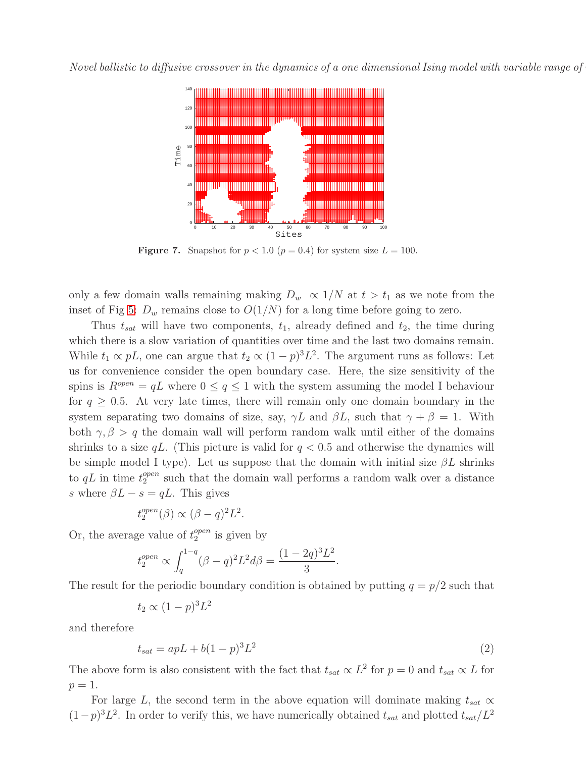

<span id="page-7-0"></span>Figure 7. Snapshot for  $p < 1.0$  ( $p = 0.4$ ) for system size  $L = 100$ .

only a few domain walls remaining making  $D_w \propto 1/N$  at  $t > t_1$  as we note from the inset of Fig [5:](#page-6-0)  $D_w$  remains close to  $O(1/N)$  for a long time before going to zero.

Thus  $t_{sat}$  will have two components,  $t_1$ , already defined and  $t_2$ , the time during which there is a slow variation of quantities over time and the last two domains remain. While  $t_1 \propto pL$ , one can argue that  $t_2 \propto (1-p)^3 L^2$ . The argument runs as follows: Let us for convenience consider the open boundary case. Here, the size sensitivity of the spins is  $R^{open} = qL$  where  $0 \leq q \leq 1$  with the system assuming the model I behaviour for  $q \geq 0.5$ . At very late times, there will remain only one domain boundary in the system separating two domains of size, say,  $\gamma L$  and  $\beta L$ , such that  $\gamma + \beta = 1$ . With both  $\gamma$ ,  $\beta > q$  the domain wall will perform random walk until either of the domains shrinks to a size  $qL$ . (This picture is valid for  $q < 0.5$  and otherwise the dynamics will be simple model I type). Let us suppose that the domain with initial size  $\beta L$  shrinks to  $qL$  in time  $t_2^{open}$  $_2^{open}$  such that the domain wall performs a random walk over a distance s where  $\beta L - s = qL$ . This gives

$$
t_2^{open}(\beta) \propto (\beta - q)^2 L^2.
$$

Or, the average value of  $t_2^{open}$  $_2^{open}$  is given by

$$
t_2^{open} \propto \int_q^{1-q} (\beta - q)^2 L^2 d\beta = \frac{(1 - 2q)^3 L^2}{3}.
$$

The result for the periodic boundary condition is obtained by putting  $q = p/2$  such that

$$
t_2 \propto (1-p)^3 L^2
$$

and therefore

<span id="page-7-1"></span>
$$
t_{sat} = apL + b(1-p)^3 L^2
$$
\n(2)

The above form is also consistent with the fact that  $t_{sat} \propto L^2$  for  $p = 0$  and  $t_{sat} \propto L$  for  $p=1$ .

For large L, the second term in the above equation will dominate making  $t_{sat} \propto$  $(1-p)^3 L^2$ . In order to verify this, we have numerically obtained  $t_{sat}$  and plotted  $t_{sat}/L^2$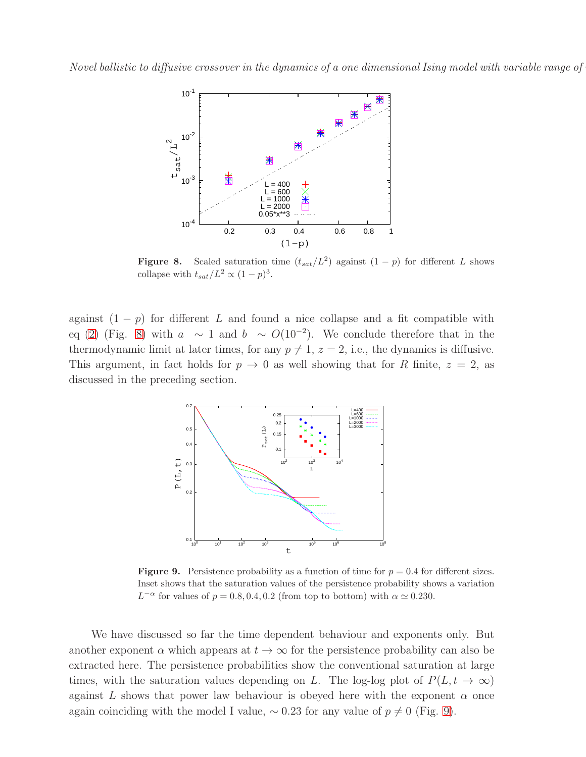

<span id="page-8-0"></span>**Figure 8.** Scaled saturation time  $(t_{sat}/L^2)$  against  $(1-p)$  for different L shows collapse with  $t_{sat}/L^2 \propto (1-p)^3$ .

against  $(1 - p)$  for different L and found a nice collapse and a fit compatible with eq [\(2\)](#page-7-1) (Fig. [8\)](#page-8-0) with  $a \sim 1$  and  $b \sim O(10^{-2})$ . We conclude therefore that in the thermodynamic limit at later times, for any  $p \neq 1$ ,  $z = 2$ , i.e., the dynamics is diffusive. This argument, in fact holds for  $p \to 0$  as well showing that for R finite,  $z = 2$ , as discussed in the preceding section.



<span id="page-8-1"></span>**Figure 9.** Persistence probability as a function of time for  $p = 0.4$  for different sizes. Inset shows that the saturation values of the persistence probability shows a variation  $L^{-\alpha}$  for values of  $p = 0.8, 0.4, 0.2$  (from top to bottom) with  $\alpha \simeq 0.230$ .

We have discussed so far the time dependent behaviour and exponents only. But another exponent  $\alpha$  which appears at  $t \to \infty$  for the persistence probability can also be extracted here. The persistence probabilities show the conventional saturation at large times, with the saturation values depending on L. The log-log plot of  $P(L, t \rightarrow \infty)$ against L shows that power law behaviour is obeyed here with the exponent  $\alpha$  once again coinciding with the model I value,  $\sim 0.23$  for any value of  $p \neq 0$  (Fig. [9\)](#page-8-1).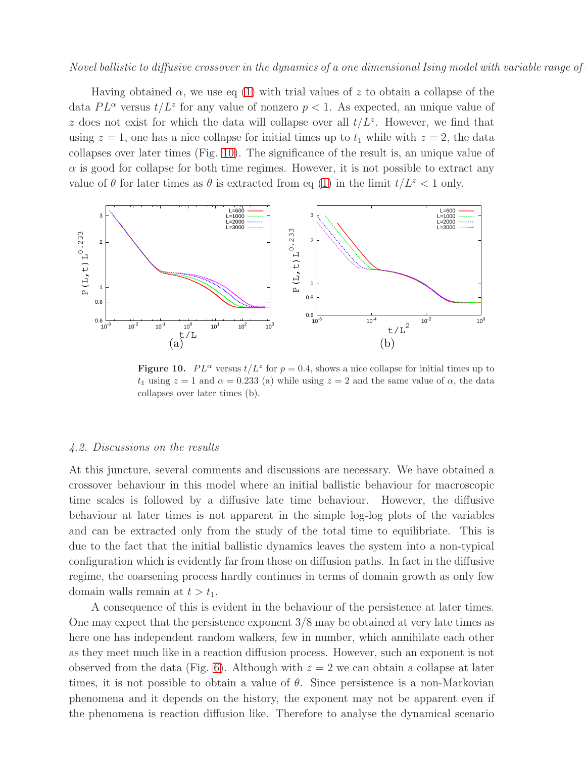Having obtained  $\alpha$ , we use eq [\(1\)](#page-3-1) with trial values of z to obtain a collapse of the data  $PL^{\alpha}$  versus  $t/L^z$  for any value of nonzero  $p < 1$ . As expected, an unique value of z does not exist for which the data will collapse over all  $t/L^z$ . However, we find that using  $z = 1$ , one has a nice collapse for initial times up to  $t_1$  while with  $z = 2$ , the data collapses over later times (Fig. [10\)](#page-9-0). The significance of the result is, an unique value of  $\alpha$  is good for collapse for both time regimes. However, it is not possible to extract any value of  $\theta$  for later times as  $\theta$  is extracted from eq [\(1\)](#page-3-1) in the limit  $t/L^z < 1$  only.



<span id="page-9-0"></span>Figure 10.  $PL^{\alpha}$  versus  $t/L^{z}$  for  $p = 0.4$ , shows a nice collapse for initial times up to  $t_1$  using  $z = 1$  and  $\alpha = 0.233$  (a) while using  $z = 2$  and the same value of  $\alpha$ , the data collapses over later times (b).

#### 4.2. Discussions on the results

At this juncture, several comments and discussions are necessary. We have obtained a crossover behaviour in this model where an initial ballistic behaviour for macroscopic time scales is followed by a diffusive late time behaviour. However, the diffusive behaviour at later times is not apparent in the simple log-log plots of the variables and can be extracted only from the study of the total time to equilibriate. This is due to the fact that the initial ballistic dynamics leaves the system into a non-typical configuration which is evidently far from those on diffusion paths. In fact in the diffusive regime, the coarsening process hardly continues in terms of domain growth as only few domain walls remain at  $t > t_1$ .

A consequence of this is evident in the behaviour of the persistence at later times. One may expect that the persistence exponent 3/8 may be obtained at very late times as here one has independent random walkers, few in number, which annihilate each other as they meet much like in a reaction diffusion process. However, such an exponent is not observed from the data (Fig. [6\)](#page-6-1). Although with  $z = 2$  we can obtain a collapse at later times, it is not possible to obtain a value of  $\theta$ . Since persistence is a non-Markovian phenomena and it depends on the history, the exponent may not be apparent even if the phenomena is reaction diffusion like. Therefore to analyse the dynamical scenario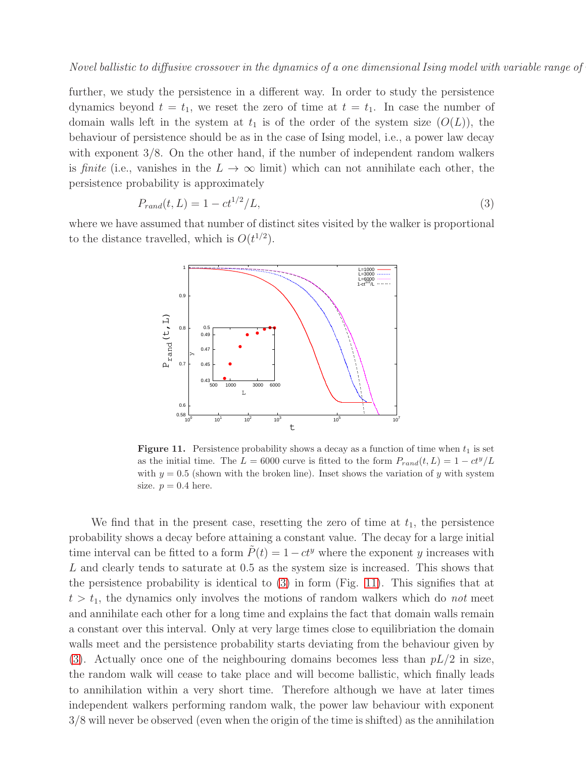further, we study the persistence in a different way. In order to study the persistence dynamics beyond  $t = t_1$ , we reset the zero of time at  $t = t_1$ . In case the number of domain walls left in the system at  $t_1$  is of the order of the system size  $(O(L))$ , the behaviour of persistence should be as in the case of Ising model, i.e., a power law decay with exponent 3/8. On the other hand, if the number of independent random walkers is finite (i.e., vanishes in the  $L \to \infty$  limit) which can not annihilate each other, the persistence probability is approximately

<span id="page-10-0"></span>
$$
P_{rand}(t, L) = 1 - ct^{1/2}/L,\t\t(3)
$$

where we have assumed that number of distinct sites visited by the walker is proportional to the distance travelled, which is  $O(t^{1/2})$ .



<span id="page-10-1"></span>**Figure 11.** Persistence probability shows a decay as a function of time when  $t_1$  is set as the initial time. The  $L = 6000$  curve is fitted to the form  $P_{rand}(t, L) = 1 - ct^y/L$ with  $y = 0.5$  (shown with the broken line). Inset shows the variation of y with system size.  $p = 0.4$  here.

We find that in the present case, resetting the zero of time at  $t_1$ , the persistence probability shows a decay before attaining a constant value. The decay for a large initial time interval can be fitted to a form  $\tilde{P}(t) = 1 - ct^y$  where the exponent y increases with L and clearly tends to saturate at 0.5 as the system size is increased. This shows that the persistence probability is identical to [\(3\)](#page-10-0) in form (Fig. [11\)](#page-10-1). This signifies that at  $t > t_1$ , the dynamics only involves the motions of random walkers which do not meet and annihilate each other for a long time and explains the fact that domain walls remain a constant over this interval. Only at very large times close to equilibriation the domain walls meet and the persistence probability starts deviating from the behaviour given by [\(3\)](#page-10-0). Actually once one of the neighbouring domains becomes less than  $pL/2$  in size, the random walk will cease to take place and will become ballistic, which finally leads to annihilation within a very short time. Therefore although we have at later times independent walkers performing random walk, the power law behaviour with exponent 3/8 will never be observed (even when the origin of the time is shifted) as the annihilation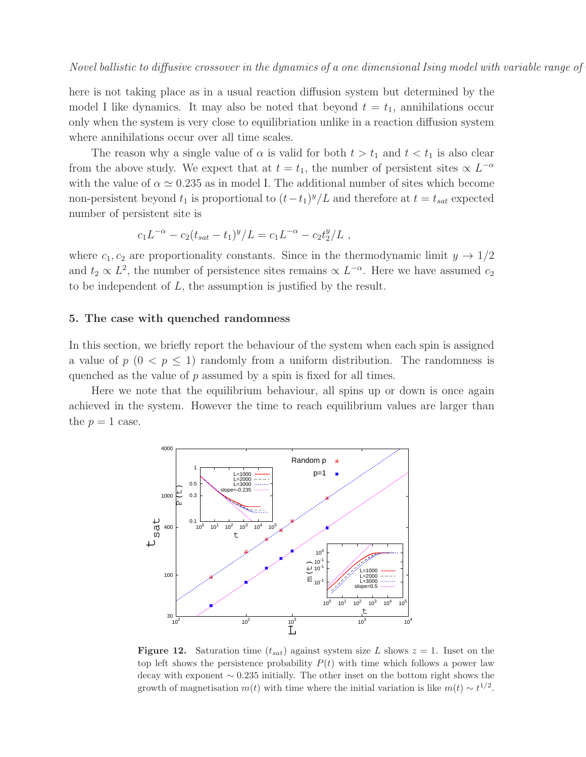here is not taking place as in a usual reaction diffusion system but determined by the model I like dynamics. It may also be noted that beyond  $t = t_1$ , annihilations occur only when the system is very close to equilibriation unlike in a reaction diffusion system where annihilations occur over all time scales.

The reason why a single value of  $\alpha$  is valid for both  $t > t_1$  and  $t < t_1$  is also clear from the above study. We expect that at  $t = t_1$ , the number of persistent sites  $\propto L^{-\alpha}$ with the value of  $\alpha \simeq 0.235$  as in model I. The additional number of sites which become non-persistent beyond  $t_1$  is proportional to  $(t-t_1)^y/L$  and therefore at  $t = t_{sat}$  expected number of persistent site is

$$
c_1 L^{-\alpha} - c_2 (t_{sat} - t_1)^y / L = c_1 L^{-\alpha} - c_2 t_2^y / L ,
$$

where  $c_1, c_2$  are proportionality constants. Since in the thermodynamic limit  $y \to 1/2$ and  $t_2 \propto L^2$ , the number of persistence sites remains  $\propto L^{-\alpha}$ . Here we have assumed  $c_2$ to be independent of L, the assumption is justified by the result.

### 5. The case with quenched randomness

In this section, we briefly report the behaviour of the system when each spin is assigned a value of  $p \ (0 \leq p \leq 1)$  randomly from a uniform distribution. The randomness is quenched as the value of p assumed by a spin is fixed for all times.

Here we note that the equilibrium behaviour, all spins up or down is once again achieved in the system. However the time to reach equilibrium values are larger than the  $p = 1$  case.



<span id="page-11-0"></span>**Figure 12.** Saturation time  $(t_{sat})$  against system size L shows  $z = 1$ . Inset on the top left shows the persistence probability  $P(t)$  with time which follows a power law decay with exponent ∼ 0.235 initially. The other inset on the bottom right shows the growth of magnetisation  $m(t)$  with time where the initial variation is like  $m(t) \sim t^{1/2}$ .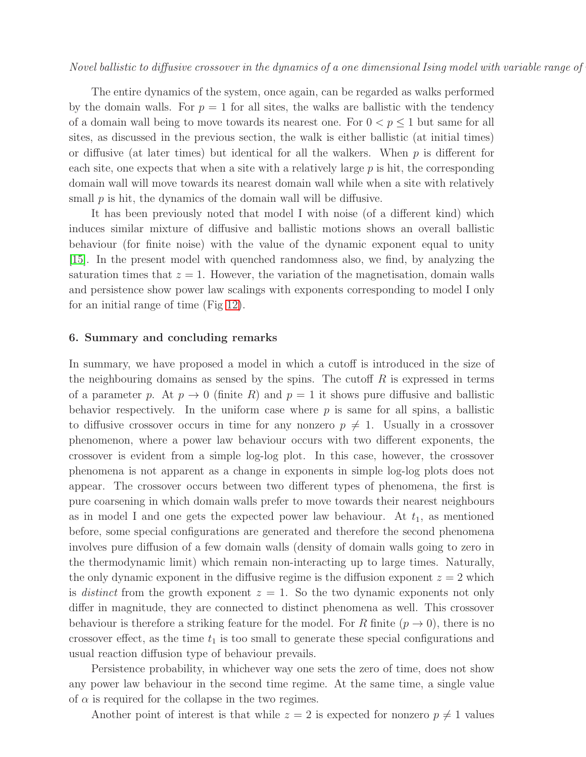The entire dynamics of the system, once again, can be regarded as walks performed by the domain walls. For  $p = 1$  for all sites, the walks are ballistic with the tendency of a domain wall being to move towards its nearest one. For  $0 < p \leq 1$  but same for all sites, as discussed in the previous section, the walk is either ballistic (at initial times) or diffusive (at later times) but identical for all the walkers. When  $p$  is different for each site, one expects that when a site with a relatively large  $p$  is hit, the corresponding domain wall will move towards its nearest domain wall while when a site with relatively small  $p$  is hit, the dynamics of the domain wall will be diffusive.

It has been previously noted that model I with noise (of a different kind) which induces similar mixture of diffusive and ballistic motions shows an overall ballistic behaviour (for finite noise) with the value of the dynamic exponent equal to unity [\[15\]](#page-13-14). In the present model with quenched randomness also, we find, by analyzing the saturation times that  $z = 1$ . However, the variation of the magnetisation, domain walls and persistence show power law scalings with exponents corresponding to model I only for an initial range of time (Fig [12\)](#page-11-0).

#### 6. Summary and concluding remarks

In summary, we have proposed a model in which a cutoff is introduced in the size of the neighbouring domains as sensed by the spins. The cutoff  $R$  is expressed in terms of a parameter p. At  $p \to 0$  (finite R) and  $p = 1$  it shows pure diffusive and ballistic behavior respectively. In the uniform case where  $p$  is same for all spins, a ballistic to diffusive crossover occurs in time for any nonzero  $p \neq 1$ . Usually in a crossover phenomenon, where a power law behaviour occurs with two different exponents, the crossover is evident from a simple log-log plot. In this case, however, the crossover phenomena is not apparent as a change in exponents in simple log-log plots does not appear. The crossover occurs between two different types of phenomena, the first is pure coarsening in which domain walls prefer to move towards their nearest neighbours as in model I and one gets the expected power law behaviour. At  $t_1$ , as mentioned before, some special configurations are generated and therefore the second phenomena involves pure diffusion of a few domain walls (density of domain walls going to zero in the thermodynamic limit) which remain non-interacting up to large times. Naturally, the only dynamic exponent in the diffusive regime is the diffusion exponent  $z = 2$  which is *distinct* from the growth exponent  $z = 1$ . So the two dynamic exponents not only differ in magnitude, they are connected to distinct phenomena as well. This crossover behaviour is therefore a striking feature for the model. For R finite  $(p \to 0)$ , there is no crossover effect, as the time  $t_1$  is too small to generate these special configurations and usual reaction diffusion type of behaviour prevails.

Persistence probability, in whichever way one sets the zero of time, does not show any power law behaviour in the second time regime. At the same time, a single value of  $\alpha$  is required for the collapse in the two regimes.

Another point of interest is that while  $z = 2$  is expected for nonzero  $p \neq 1$  values